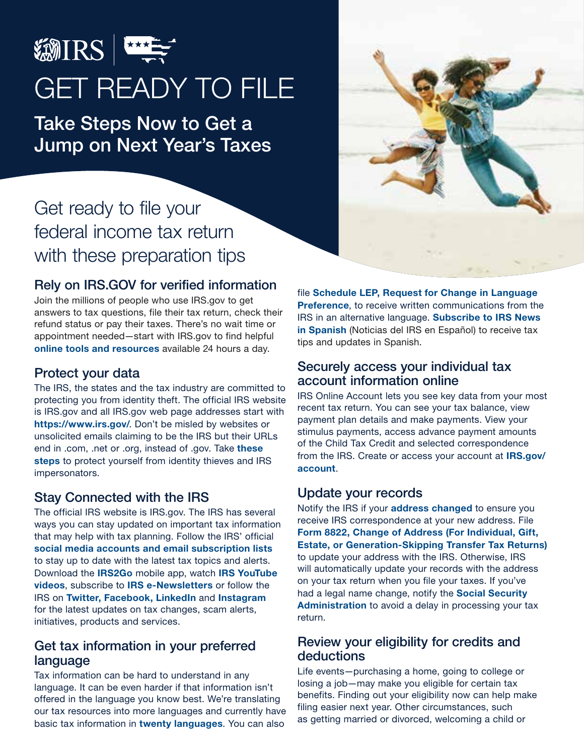

# GET READY TO FILE

Take Steps Now to Get a Jump on Next Year's Taxes

# Get ready to file your federal income tax return with these preparation tips

# Rely on IRS.GOV for verified information

Join the millions of people who use IRS.gov to get answers to tax questions, file their tax return, check their refund status or pay their taxes. There's no wait time or appointment needed—start with IRS.gov to find helpful [online tools and resources](https://www.irs.gov/help/telephone-assistance) available 24 hours a day.

# Protect your data

The IRS, the states and the tax industry are committed to protecting you from identity theft. The official IRS website is IRS.gov and all IRS.gov web page addresses start with <https://www.irs.gov/>. Don't be misled by websites or unsolicited emails claiming to be the IRS but their URLs end in .com, .net or .org, instead of .gov. Take these [steps](https://www.irs.gov/pub/irs-pdf/p4524.pdf) to protect yourself from identity thieves and IRS impersonators.

# Stay Connected with the IRS

The official IRS website is IRS.gov. The IRS has several ways you can stay updated on important tax information that may help with tax planning. Follow the IRS' official [social media accounts and email subscription lists](https://www.irs.gov/newsroom/follow-the-irs-on-social-media-and-sign-up-for-e-news-subscriptions-for-the-latest-irs-news) to stay up to date with the latest tax topics and alerts. Download the [IRS2Go](https://www.irs.gov/newsroom/irs2goapp) mobile app, watch [IRS YouTube](https://www.youtube.com/irsvideos) videos, subscribe to [IRS e-Newsletters](https://www.irs.gov/newsroom/e-news-subscriptions) or follow the IRS on [Twitter](https://twitter.com/IRSnews), [Facebook,](https://www.facebook.com/IRS) [LinkedIn](https://www.linkedin.com/company/irs) and [Instagram](https://www.instagram.com/irsnews/) for the latest updates on tax changes, scam alerts, initiatives, products and services.

#### Get tax information in your preferred language

Tax information can be hard to understand in any language. It can be even harder if that information isn't offered in the language you know best. We're translating our tax resources into more languages and currently have basic tax information in [twenty languages](https://www.irs.gov/help/languages). You can also

file [Schedule LEP, Request for Change in Language](https://www.irs.gov/forms-pubs/about-schedule-lep)  **[Preference](https://www.irs.gov/forms-pubs/about-schedule-lep)**, to receive written communications from the IRS in an alternative language. [Subscribe to IRS News](https://www.irs.gov/es/newsroom/subscribe-to-irs-tax-tips)  [in Spanish](https://www.irs.gov/es/newsroom/subscribe-to-irs-tax-tips) (Noticias del IRS en Español) to receive tax tips and updates in Spanish.

# Securely access your individual tax account information online

IRS Online Account lets you see key data from your most recent tax return. You can see your tax balance, view payment plan details and make payments. View your stimulus payments, access advance payment amounts of the Child Tax Credit and selected correspondence from the IRS. Create or access your account at [IRS.gov/](https://www.irs.gov/account) [account](https://www.irs.gov/account).

# Update your records

Notify the IRS if your [address changed](https://www.irs.gov/taxtopics/tc157) to ensure you receive IRS correspondence at your new address. File [Form 8822, Change of Address \(For Individual, Gift,](https://www.irs.gov/forms-pubs/about-form-8822)  [Estate, or Generation-Skipping Transfer Tax Returns\)](https://www.irs.gov/forms-pubs/about-form-8822) to update your address with the IRS. Otherwise, IRS will automatically update your records with the address on your tax return when you file your taxes. If you've had a legal name change, notify the Social Security [Administration](https://www.ssa.gov) to avoid a delay in processing your tax return.

#### Review your eligibility for credits and deductions

Life events—purchasing a home, going to college or losing a job—may make you eligible for certain tax benefits. Finding out your eligibility now can help make filing easier next year. Other circumstances, such as getting married or divorced, welcoming a child or